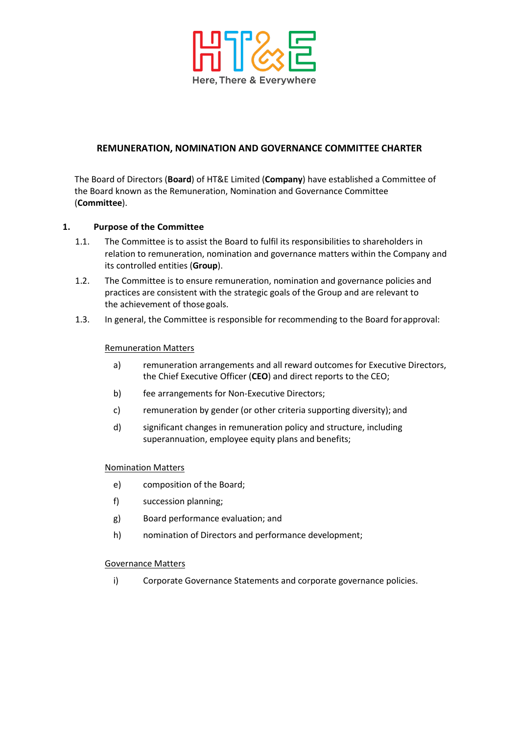

# **REMUNERATION, NOMINATION AND GOVERNANCE COMMITTEE CHARTER**

The Board of Directors (**Board**) of HT&E Limited (**Company**) have established a Committee of the Board known as the Remuneration, Nomination and Governance Committee (**Committee**).

### **1. Purpose of the Committee**

- 1.1. The Committee is to assist the Board to fulfil its responsibilities to shareholders in relation to remuneration, nomination and governance matters within the Company and its controlled entities (**Group**).
- 1.2. The Committee is to ensure remuneration, nomination and governance policies and practices are consistent with the strategic goals of the Group and are relevant to the achievement of those goals.
- 1.3. In general, the Committee is responsible for recommending to the Board forapproval:

### Remuneration Matters

- a) remuneration arrangements and all reward outcomes for Executive Directors, the Chief Executive Officer (**CEO**) and direct reports to the CEO;
- b) fee arrangements for Non-Executive Directors;
- c) remuneration by gender (or other criteria supporting diversity); and
- d) significant changes in remuneration policy and structure, including superannuation, employee equity plans and benefits;

#### Nomination Matters

- e) composition of the Board;
- f) succession planning;
- g) Board performance evaluation; and
- h) nomination of Directors and performance development;

#### Governance Matters

i) Corporate Governance Statements and corporate governance policies.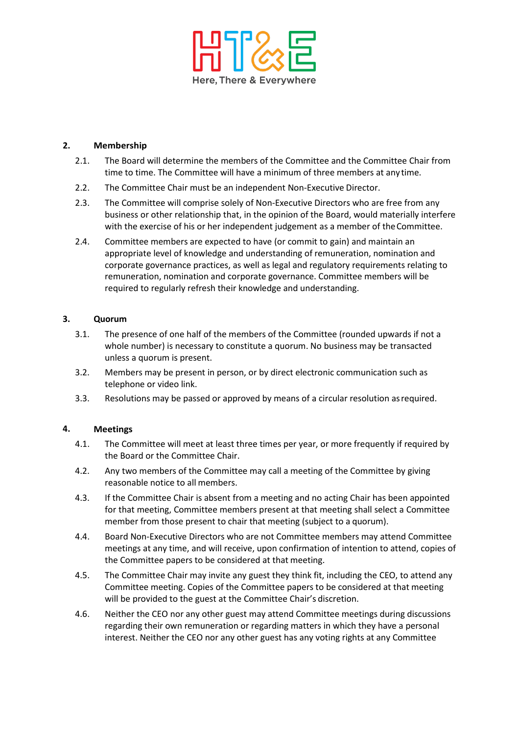

### **2. Membership**

- 2.1. The Board will determine the members of the Committee and the Committee Chair from time to time. The Committee will have a minimum of three members at any time.
- 2.2. The Committee Chair must be an independent Non-Executive Director.
- 2.3. The Committee will comprise solely of Non-Executive Directors who are free from any business or other relationship that, in the opinion of the Board, would materially interfere with the exercise of his or her independent judgement as a member of theCommittee.
- 2.4. Committee members are expected to have (or commit to gain) and maintain an appropriate level of knowledge and understanding of remuneration, nomination and corporate governance practices, as well as legal and regulatory requirements relating to remuneration, nomination and corporate governance. Committee members will be required to regularly refresh their knowledge and understanding.

### **3. Quorum**

- 3.1. The presence of one half of the members of the Committee (rounded upwards if not a whole number) is necessary to constitute a quorum. No business may be transacted unless a quorum is present.
- 3.2. Members may be present in person, or by direct electronic communication such as telephone or video link.
- 3.3. Resolutions may be passed or approved by means of a circular resolution asrequired.

## **4. Meetings**

- 4.1. The Committee will meet at least three times per year, or more frequently if required by the Board or the Committee Chair.
- 4.2. Any two members of the Committee may call a meeting of the Committee by giving reasonable notice to all members.
- 4.3. If the Committee Chair is absent from a meeting and no acting Chair has been appointed for that meeting, Committee members present at that meeting shall select a Committee member from those present to chair that meeting (subject to a quorum).
- 4.4. Board Non-Executive Directors who are not Committee members may attend Committee meetings at any time, and will receive, upon confirmation of intention to attend, copies of the Committee papers to be considered at that meeting.
- 4.5. The Committee Chair may invite any guest they think fit, including the CEO, to attend any Committee meeting. Copies of the Committee papers to be considered at that meeting will be provided to the guest at the Committee Chair's discretion.
- 4.6. Neither the CEO nor any other guest may attend Committee meetings during discussions regarding their own remuneration or regarding matters in which they have a personal interest. Neither the CEO nor any other guest has any voting rights at any Committee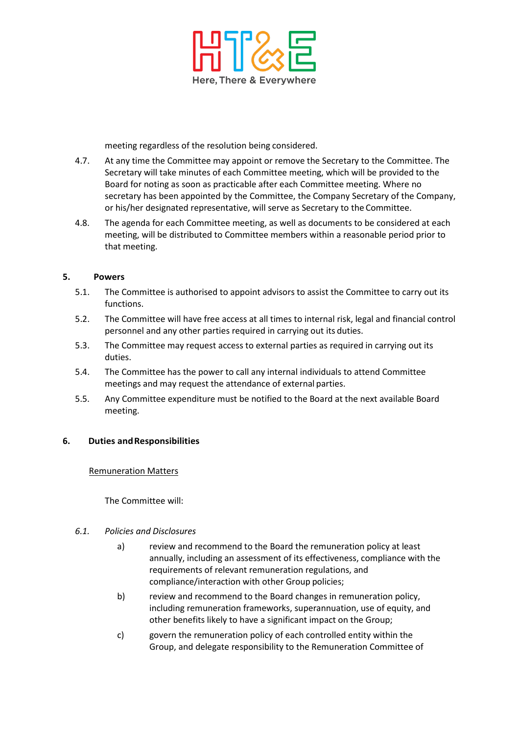

meeting regardless of the resolution being considered.

- 4.7. At any time the Committee may appoint or remove the Secretary to the Committee. The Secretary will take minutes of each Committee meeting, which will be provided to the Board for noting as soon as practicable after each Committee meeting. Where no secretary has been appointed by the Committee, the Company Secretary of the Company, or his/her designated representative, will serve as Secretary to the Committee.
- 4.8. The agenda for each Committee meeting, as well as documents to be considered at each meeting, will be distributed to Committee members within a reasonable period prior to that meeting.

### **5. Powers**

- 5.1. The Committee is authorised to appoint advisors to assist the Committee to carry out its functions.
- 5.2. The Committee will have free access at all times to internal risk, legal and financial control personnel and any other parties required in carrying out its duties.
- 5.3. The Committee may request access to external parties as required in carrying out its duties.
- 5.4. The Committee has the power to call any internal individuals to attend Committee meetings and may request the attendance of external parties.
- 5.5. Any Committee expenditure must be notified to the Board at the next available Board meeting.

#### **6. Duties andResponsibilities**

#### Remuneration Matters

The Committee will:

#### *6.1. Policies and Disclosures*

- a) review and recommend to the Board the remuneration policy at least annually, including an assessment of its effectiveness, compliance with the requirements of relevant remuneration regulations, and compliance/interaction with other Group policies;
- b) review and recommend to the Board changes in remuneration policy, including remuneration frameworks, superannuation, use of equity, and other benefits likely to have a significant impact on the Group;
- c) govern the remuneration policy of each controlled entity within the Group, and delegate responsibility to the Remuneration Committee of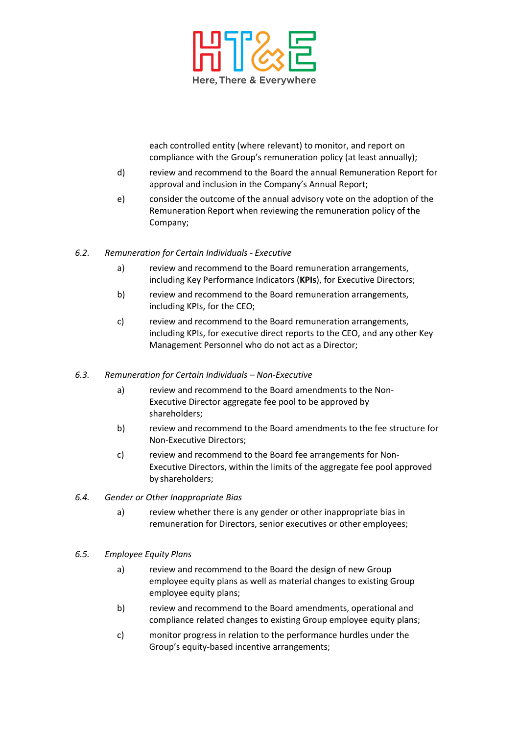

each controlled entity (where relevant) to monitor, and report on compliance with the Group's remuneration policy (at least annually);

- d) review and recommend to the Board the annual Remuneration Report for approval and inclusion in the Company's Annual Report;
- e) consider the outcome of the annual advisory vote on the adoption of the Remuneration Report when reviewing the remuneration policy of the Company;

### *6.2. Remuneration for Certain Individuals - Executive*

- a) review and recommend to the Board remuneration arrangements, including Key Performance Indicators (**KPIs**), for Executive Directors;
- b) review and recommend to the Board remuneration arrangements, including KPIs, for the CEO;
- c) review and recommend to the Board remuneration arrangements, including KPIs, for executive direct reports to the CEO, and any other Key Management Personnel who do not act as a Director;

#### *6.3. Remuneration for Certain Individuals – Non-Executive*

- a) review and recommend to the Board amendments to the Non-Executive Director aggregate fee pool to be approved by shareholders;
- b) review and recommend to the Board amendments to the fee structure for Non-Executive Directors;
- c) review and recommend to the Board fee arrangements for Non-Executive Directors, within the limits of the aggregate fee pool approved by shareholders;
- *6.4. Gender or Other Inappropriate Bias*
	- a) review whether there is any gender or other inappropriate bias in remuneration for Directors, senior executives or other employees;

#### *6.5. Employee Equity Plans*

- a) review and recommend to the Board the design of new Group employee equity plans as well as material changes to existing Group employee equity plans;
- b) review and recommend to the Board amendments, operational and compliance related changes to existing Group employee equity plans;
- c) monitor progress in relation to the performance hurdles under the Group's equity-based incentive arrangements;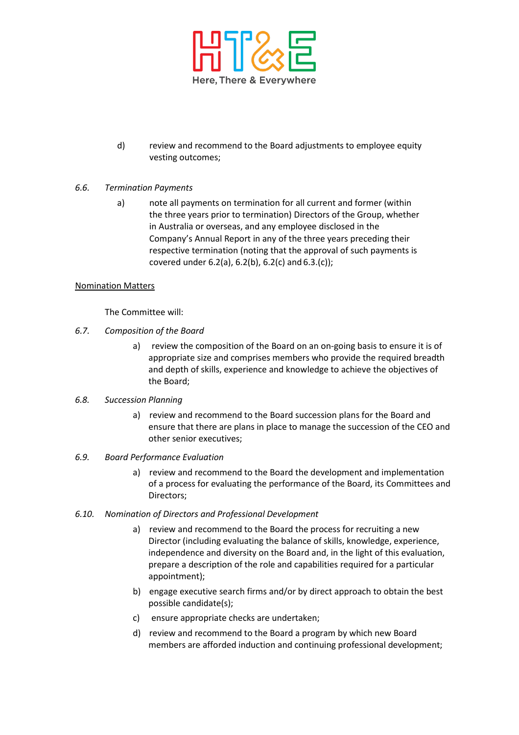

d) review and recommend to the Board adjustments to employee equity vesting outcomes;

### *6.6. Termination Payments*

a) note all payments on termination for all current and former (within the three years prior to termination) Directors of the Group, whether in Australia or overseas, and any employee disclosed in the Company's Annual Report in any of the three years preceding their respective termination (noting that the approval of such payments is covered under 6.2(a), 6.2(b), 6.2(c) and 6.3.(c));

### Nomination Matters

The Committee will:

- *6.7. Composition of the Board* 
	- a) review the composition of the Board on an on-going basis to ensure it is of appropriate size and comprises members who provide the required breadth and depth of skills, experience and knowledge to achieve the objectives of the Board;

#### *6.8. Succession Planning*

a) review and recommend to the Board succession plans for the Board and ensure that there are plans in place to manage the succession of the CEO and other senior executives;

### *6.9. Board Performance Evaluation*

a) review and recommend to the Board the development and implementation of a process for evaluating the performance of the Board, its Committees and Directors;

#### *6.10. Nomination of Directors and Professional Development*

- a) review and recommend to the Board the process for recruiting a new Director (including evaluating the balance of skills, knowledge, experience, independence and diversity on the Board and, in the light of this evaluation, prepare a description of the role and capabilities required for a particular appointment);
- b) engage executive search firms and/or by direct approach to obtain the best possible candidate(s);
- c) ensure appropriate checks are undertaken;
- d) review and recommend to the Board a program by which new Board members are afforded induction and continuing professional development;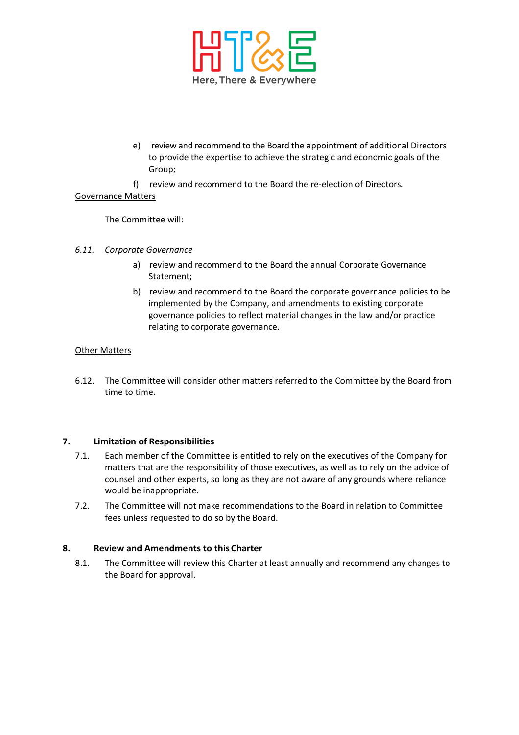

- e) review and recommend to the Board the appointment of additional Directors to provide the expertise to achieve the strategic and economic goals of the Group;
- f) review and recommend to the Board the re-election of Directors.

### Governance Matters

The Committee will:

- *6.11. Corporate Governance*
	- a) review and recommend to the Board the annual Corporate Governance Statement;
	- b) review and recommend to the Board the corporate governance policies to be implemented by the Company, and amendments to existing corporate governance policies to reflect material changes in the law and/or practice relating to corporate governance.

### Other Matters

6.12. The Committee will consider other matters referred to the Committee by the Board from time to time.

## **7. Limitation of Responsibilities**

- 7.1. Each member of the Committee is entitled to rely on the executives of the Company for matters that are the responsibility of those executives, as well as to rely on the advice of counsel and other experts, so long as they are not aware of any grounds where reliance would be inappropriate.
- 7.2. The Committee will not make recommendations to the Board in relation to Committee fees unless requested to do so by the Board.

#### **8. Review and Amendments to this Charter**

8.1. The Committee will review this Charter at least annually and recommend any changes to the Board for approval.